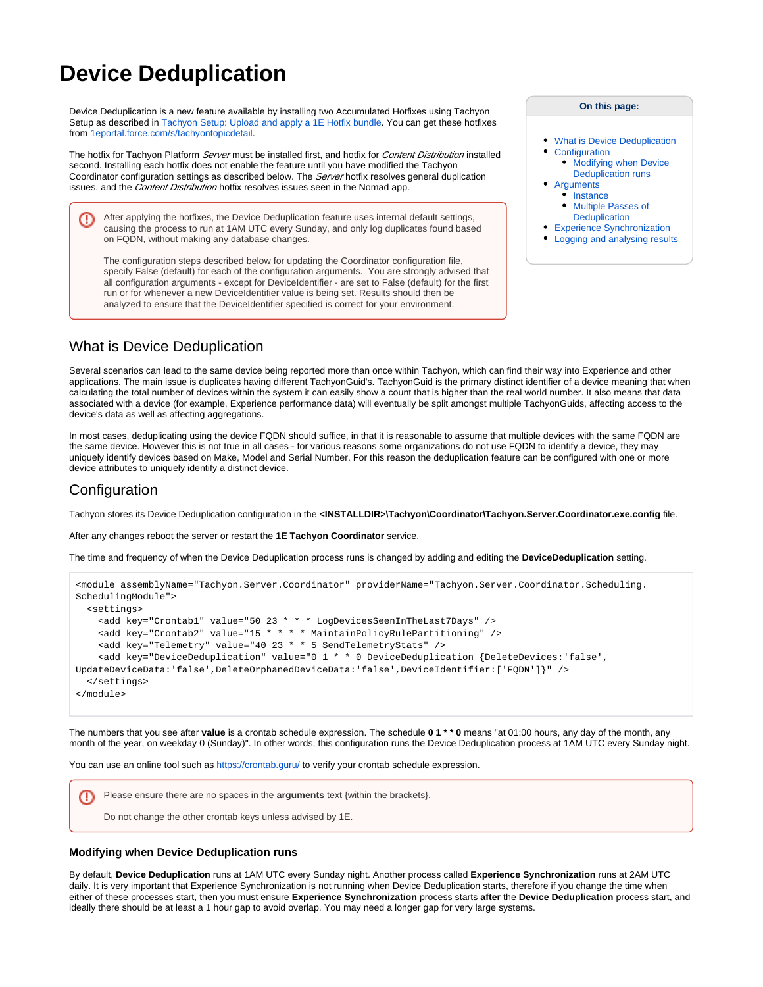# **Device Deduplication**

Device Deduplication is a new feature available by installing two Accumulated Hotfixes using Tachyon Setup as described in [Tachyon Setup: Upload and apply a 1E Hotfix bundle](https://help.1e.com/display/TCN52/Tachyon+Setup#TachyonSetup-Uploadandapplya1EHotfixbundle). You can get these hotfixes from [1eportal.force.com/s/tachyontopicdetail.](https://1eportal.force.com/s/tachyontopicdetail)

The hotfix for Tachyon Platform Server must be installed first, and hotfix for Content Distribution installed second. Installing each hotfix does not enable the feature until you have modified the Tachyon Coordinator configuration settings as described below. The Server hotfix resolves general duplication issues, and the *Content Distribution* hotfix resolves issues seen in the Nomad app.

After applying the hotfixes, the Device Deduplication feature uses internal default settings, O) causing the process to run at 1AM UTC every Sunday, and only log duplicates found based on FQDN, without making any database changes.

The configuration steps described below for updating the Coordinator configuration file, specify False (default) for each of the configuration arguments. You are strongly advised that all configuration arguments - except for DeviceIdentifier - are set to False (default) for the first run or for whenever a new DeviceIdentifier value is being set. Results should then be analyzed to ensure that the DeviceIdentifier specified is correct for your environment.

**On this page:**

- [What is Device Deduplication](#page-0-0) **[Configuration](#page-0-1)** 
	- [Modifying when Device](#page-0-2)  [Deduplication runs](#page-0-2)
- **[Arguments](#page-0-3)** • [Instance](#page-2-0)
	- [Multiple Passes of](#page-2-1)  **[Deduplication](#page-2-1)**
- **[Experience Synchronization](#page-2-2)**
- [Logging and analysing results](#page-3-0)

## <span id="page-0-0"></span>What is Device Deduplication

Several scenarios can lead to the same device being reported more than once within Tachyon, which can find their way into Experience and other applications. The main issue is duplicates having different TachyonGuid's. TachyonGuid is the primary distinct identifier of a device meaning that when calculating the total number of devices within the system it can easily show a count that is higher than the real world number. It also means that data associated with a device (for example, Experience performance data) will eventually be split amongst multiple TachyonGuids, affecting access to the device's data as well as affecting aggregations.

In most cases, deduplicating using the device FQDN should suffice, in that it is reasonable to assume that multiple devices with the same FQDN are the same device. However this is not true in all cases - for various reasons some organizations do not use FQDN to identify a device, they may uniquely identify devices based on Make, Model and Serial Number. For this reason the deduplication feature can be configured with one or more device attributes to uniquely identify a distinct device.

### <span id="page-0-1"></span>Configuration

Tachyon stores its Device Deduplication configuration in the **<INSTALLDIR>\Tachyon\Coordinator\Tachyon.Server.Coordinator.exe.config** file.

After any changes reboot the server or restart the **1E Tachyon Coordinator** service.

The time and frequency of when the Device Deduplication process runs is changed by adding and editing the **DeviceDeduplication** setting.

```
<module assemblyName="Tachyon.Server.Coordinator" providerName="Tachyon.Server.Coordinator.Scheduling.
SchedulingModule">
   <settings>
     <add key="Crontab1" value="50 23 * * * LogDevicesSeenInTheLast7Days" />
     <add key="Crontab2" value="15 * * * * MaintainPolicyRulePartitioning" />
     <add key="Telemetry" value="40 23 * * 5 SendTelemetryStats" />
    <add key="DeviceDeduplication" value="0 1 * * 0 DeviceDeduplication {DeleteDevices:'false',
UpdateDeviceData:'false',DeleteOrphanedDeviceData:'false',DeviceIdentifier:['FQDN']}" />
   </settings>
</module>
```
The numbers that you see after **value** is a crontab schedule expression. The schedule **0 1 \* \* 0** means "at 01:00 hours, any day of the month, any month of the year, on weekday 0 (Sunday)". In other words, this configuration runs the Device Deduplication process at 1AM UTC every Sunday night.

You can use an online tool such as <https://crontab.guru/>to verify your crontab schedule expression.

Please ensure there are no spaces in the **arguments** text {within the brackets}. ⊕ Do not change the other crontab keys unless advised by 1E.

#### <span id="page-0-2"></span>**Modifying when Device Deduplication runs**

<span id="page-0-3"></span>By default, **Device Deduplication** runs at 1AM UTC every Sunday night. Another process called **Experience Synchronization** runs at 2AM UTC daily. It is very important that Experience Synchronization is not running when Device Deduplication starts, therefore if you change the time when either of these processes start, then you must ensure **Experience Synchronization** process starts **after** the **Device Deduplication** process start, and ideally there should be at least a 1 hour gap to avoid overlap. You may need a longer gap for very large systems.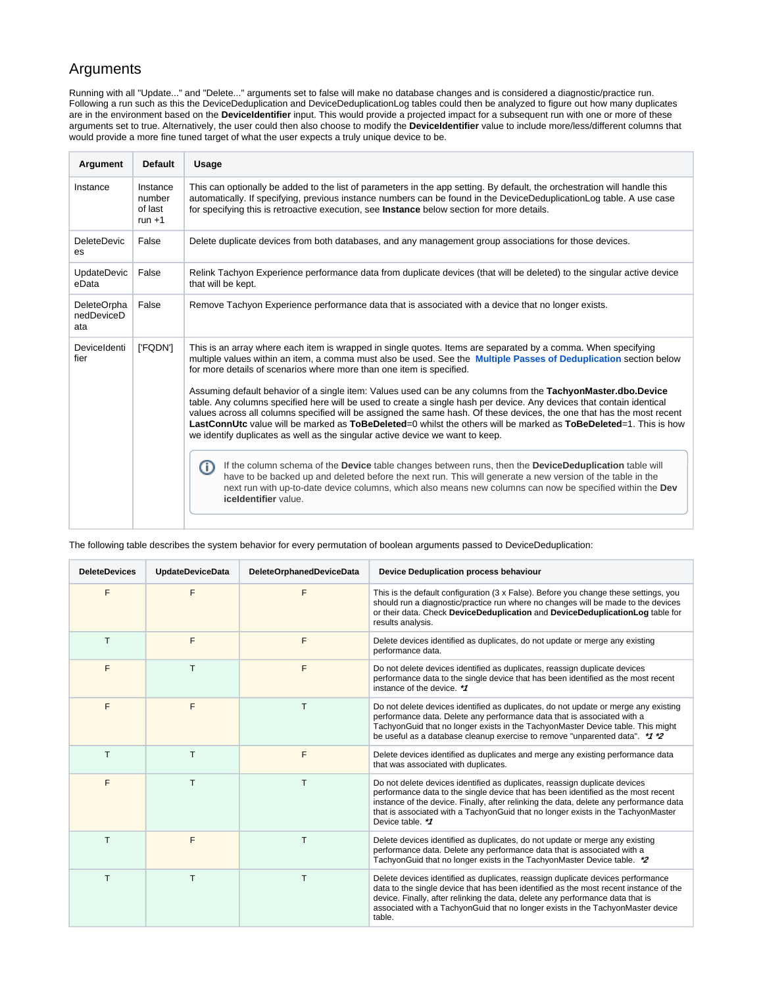### Arguments

Running with all "Update..." and "Delete..." arguments set to false will make no database changes and is considered a diagnostic/practice run. Following a run such as this the DeviceDeduplication and DeviceDeduplicationLog tables could then be analyzed to figure out how many duplicates are in the environment based on the **DeviceIdentifier** input. This would provide a projected impact for a subsequent run with one or more of these arguments set to true. Alternatively, the user could then also choose to modify the **DeviceIdentifier** value to include more/less/different columns that would provide a more fine tuned target of what the user expects a truly unique device to be.

| Argument                         | <b>Default</b>                            | Usage                                                                                                                                                                                                                                                                                                                                                                                                                                                                                                                                                                                                                                                                                                                                                                                                                                                                                                                                                                                                                                                                                                                                                                                                                                                       |  |
|----------------------------------|-------------------------------------------|-------------------------------------------------------------------------------------------------------------------------------------------------------------------------------------------------------------------------------------------------------------------------------------------------------------------------------------------------------------------------------------------------------------------------------------------------------------------------------------------------------------------------------------------------------------------------------------------------------------------------------------------------------------------------------------------------------------------------------------------------------------------------------------------------------------------------------------------------------------------------------------------------------------------------------------------------------------------------------------------------------------------------------------------------------------------------------------------------------------------------------------------------------------------------------------------------------------------------------------------------------------|--|
| Instance                         | Instance<br>number<br>of last<br>run $+1$ | This can optionally be added to the list of parameters in the app setting. By default, the orchestration will handle this<br>automatically. If specifying, previous instance numbers can be found in the DeviceDeduplicationLog table. A use case<br>for specifying this is retroactive execution, see Instance below section for more details.                                                                                                                                                                                                                                                                                                                                                                                                                                                                                                                                                                                                                                                                                                                                                                                                                                                                                                             |  |
| <b>DeleteDevic</b><br>es         | False                                     | Delete duplicate devices from both databases, and any management group associations for those devices.                                                                                                                                                                                                                                                                                                                                                                                                                                                                                                                                                                                                                                                                                                                                                                                                                                                                                                                                                                                                                                                                                                                                                      |  |
| <b>UpdateDevic</b><br>eData      | False                                     | Relink Tachyon Experience performance data from duplicate devices (that will be deleted) to the singular active device<br>that will be kept.                                                                                                                                                                                                                                                                                                                                                                                                                                                                                                                                                                                                                                                                                                                                                                                                                                                                                                                                                                                                                                                                                                                |  |
| DeleteOrpha<br>nedDeviceD<br>ata | False                                     | Remove Tachyon Experience performance data that is associated with a device that no longer exists.                                                                                                                                                                                                                                                                                                                                                                                                                                                                                                                                                                                                                                                                                                                                                                                                                                                                                                                                                                                                                                                                                                                                                          |  |
| DeviceIdenti<br>fier             | ['FQDN']                                  | This is an array where each item is wrapped in single quotes. Items are separated by a comma. When specifying<br>multiple values within an item, a comma must also be used. See the <b>Multiple Passes of Deduplication</b> section below<br>for more details of scenarios where more than one item is specified.<br>Assuming default behavior of a single item: Values used can be any columns from the TachyonMaster.dbo.Device<br>table. Any columns specified here will be used to create a single hash per device. Any devices that contain identical<br>values across all columns specified will be assigned the same hash. Of these devices, the one that has the most recent<br>LastConnUtc value will be marked as ToBeDeleted=0 whilst the others will be marked as ToBeDeleted=1. This is how<br>we identify duplicates as well as the singular active device we want to keep.<br>If the column schema of the Device table changes between runs, then the DeviceDeduplication table will<br>O<br>have to be backed up and deleted before the next run. This will generate a new version of the table in the<br>next run with up-to-date device columns, which also means new columns can now be specified within the Dev<br>iceldentifier value. |  |

| <b>DeleteDevices</b> | <b>UpdateDeviceData</b> | <b>DeleteOrphanedDeviceData</b> | Device Deduplication process behaviour                                                                                                                                                                                                                                                                                                                            |
|----------------------|-------------------------|---------------------------------|-------------------------------------------------------------------------------------------------------------------------------------------------------------------------------------------------------------------------------------------------------------------------------------------------------------------------------------------------------------------|
| F                    | F                       | F                               | This is the default configuration (3 x False). Before you change these settings, you<br>should run a diagnostic/practice run where no changes will be made to the devices<br>or their data. Check DeviceDeduplication and DeviceDeduplicationLog table for<br>results analysis.                                                                                   |
| т                    | F                       | F                               | Delete devices identified as duplicates, do not update or merge any existing<br>performance data.                                                                                                                                                                                                                                                                 |
| F                    | T                       | F                               | Do not delete devices identified as duplicates, reassign duplicate devices<br>performance data to the single device that has been identified as the most recent<br>instance of the device. **                                                                                                                                                                     |
| F                    | F                       | T                               | Do not delete devices identified as duplicates, do not update or merge any existing<br>performance data. Delete any performance data that is associated with a<br>TachyonGuid that no longer exists in the TachyonMaster Device table. This might<br>be useful as a database cleanup exercise to remove "unparented data". * 1*2                                  |
| T.                   | T.                      | F                               | Delete devices identified as duplicates and merge any existing performance data<br>that was associated with duplicates.                                                                                                                                                                                                                                           |
| F                    | T                       | т                               | Do not delete devices identified as duplicates, reassign duplicate devices<br>performance data to the single device that has been identified as the most recent<br>instance of the device. Finally, after relinking the data, delete any performance data<br>that is associated with a TachyonGuid that no longer exists in the TachyonMaster<br>Device table. ** |
| т                    | F                       | т                               | Delete devices identified as duplicates, do not update or merge any existing<br>performance data. Delete any performance data that is associated with a<br>TachyonGuid that no longer exists in the TachyonMaster Device table. * 2                                                                                                                               |
| T.                   | T                       | T                               | Delete devices identified as duplicates, reassign duplicate devices performance<br>data to the single device that has been identified as the most recent instance of the<br>device. Finally, after relinking the data, delete any performance data that is<br>associated with a TachyonGuid that no longer exists in the TachyonMaster device<br>table.           |

The following table describes the system behavior for every permutation of boolean arguments passed to DeviceDeduplication: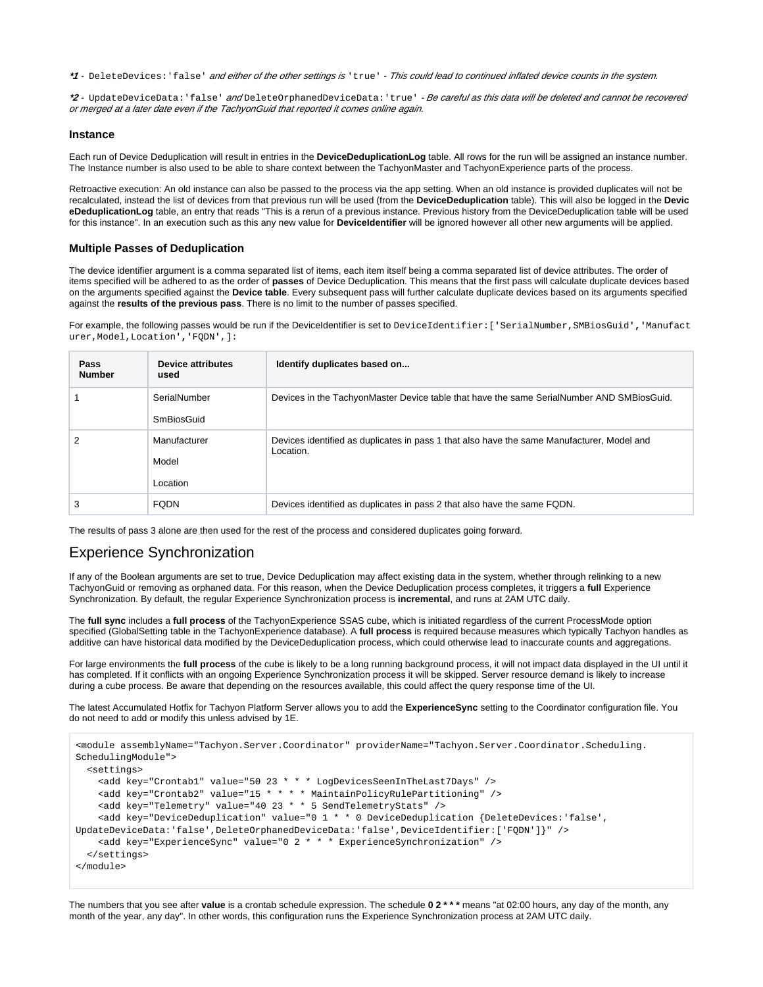**\*1** - DeleteDevices:'false' and either of the other settings is 'true' - This could lead to continued inflated device counts in the system.

**\*2** - UpdateDeviceData:'false' and DeleteOrphanedDeviceData:'true' - Be careful as this data will be deleted and cannot be recovered or merged at a later date even if the TachyonGuid that reported it comes online again.

#### <span id="page-2-0"></span>**Instance**

Each run of Device Deduplication will result in entries in the **DeviceDeduplicationLog** table. All rows for the run will be assigned an instance number. The Instance number is also used to be able to share context between the TachyonMaster and TachyonExperience parts of the process.

Retroactive execution: An old instance can also be passed to the process via the app setting. When an old instance is provided duplicates will not be recalculated, instead the list of devices from that previous run will be used (from the **DeviceDeduplication** table). This will also be logged in the **Devic eDeduplicationLog** table, an entry that reads "This is a rerun of a previous instance. Previous history from the DeviceDeduplication table will be used for this instance". In an execution such as this any new value for **DeviceIdentifier** will be ignored however all other new arguments will be applied.

#### <span id="page-2-1"></span>**Multiple Passes of Deduplication**

The device identifier argument is a comma separated list of items, each item itself being a comma separated list of device attributes. The order of items specified will be adhered to as the order of **passes** of Device Deduplication. This means that the first pass will calculate duplicate devices based on the arguments specified against the **Device table**. Every subsequent pass will further calculate duplicate devices based on its arguments specified against the **results of the previous pass**. There is no limit to the number of passes specified.

For example, the following passes would be run if the DeviceIdentifier is set to DeviceIdentifier:[**'**SerialNumber,SMBiosGuid**','**Manufact urer,Model,Location**','**FQDN**'**,]:

| Pass<br><b>Number</b> | <b>Device attributes</b><br>used  | Identify duplicates based on                                                                            |
|-----------------------|-----------------------------------|---------------------------------------------------------------------------------------------------------|
|                       | SerialNumber<br>SmBiosGuid        | Devices in the TachyonMaster Device table that have the same SerialNumber AND SMBiosGuid.               |
| 2                     | Manufacturer<br>Model<br>Location | Devices identified as duplicates in pass 1 that also have the same Manufacturer, Model and<br>Location. |
| 3                     | <b>FODN</b>                       | Devices identified as duplicates in pass 2 that also have the same FQDN.                                |

The results of pass 3 alone are then used for the rest of the process and considered duplicates going forward.

### <span id="page-2-2"></span>Experience Synchronization

If any of the Boolean arguments are set to true, Device Deduplication may affect existing data in the system, whether through relinking to a new TachyonGuid or removing as orphaned data. For this reason, when the Device Deduplication process completes, it triggers a **full** Experience Synchronization. By default, the regular Experience Synchronization process is **incremental**, and runs at 2AM UTC daily.

The **full sync** includes a **full process** of the TachyonExperience SSAS cube, which is initiated regardless of the current ProcessMode option specified (GlobalSetting table in the TachyonExperience database). A **full process** is required because measures which typically Tachyon handles as additive can have historical data modified by the DeviceDeduplication process, which could otherwise lead to inaccurate counts and aggregations.

For large environments the full process of the cube is likely to be a long running background process, it will not impact data displayed in the UI until it has completed. If it conflicts with an ongoing Experience Synchronization process it will be skipped. Server resource demand is likely to increase during a cube process. Be aware that depending on the resources available, this could affect the query response time of the UI.

The latest Accumulated Hotfix for Tachyon Platform Server allows you to add the **ExperienceSync** setting to the Coordinator configuration file. You do not need to add or modify this unless advised by 1E.

```
<module assemblyName="Tachyon.Server.Coordinator" providerName="Tachyon.Server.Coordinator.Scheduling.
SchedulingModule">
   <settings>
     <add key="Crontab1" value="50 23 * * * LogDevicesSeenInTheLast7Days" />
     <add key="Crontab2" value="15 * * * * MaintainPolicyRulePartitioning" />
     <add key="Telemetry" value="40 23 * * 5 SendTelemetryStats" />
    <add key="DeviceDeduplication" value="0 1 * * 0 DeviceDeduplication {DeleteDevices:'false',
UpdateDeviceData:'false',DeleteOrphanedDeviceData:'false',DeviceIdentifier:['FQDN']}" />
     <add key="ExperienceSync" value="0 2 * * * ExperienceSynchronization" />
   </settings>
</module>
```
The numbers that you see after **value** is a crontab schedule expression. The schedule **0 2 \* \* \*** means "at 02:00 hours, any day of the month, any month of the year, any day". In other words, this configuration runs the Experience Synchronization process at 2AM UTC daily.